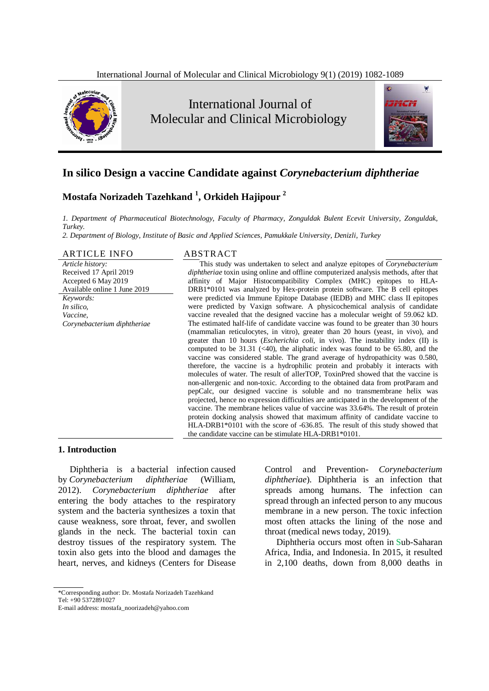

 International Journal of Molecular and Clinical Microbiology



# **In silico Design a vaccine Candidate against** *Corynebacterium diphtheriae*

# **Mostafa Norizadeh Tazehkand <sup>1</sup> , Orkideh Hajipour <sup>2</sup>**

*1. Department of Pharmaceutical Biotechnology, Faculty of Pharmacy, Zonguldak Bulent Ecevit University, Zonguldak, Turkey.* 

*2. Department of Biology, Institute of Basic and Applied Sciences, Pamukkale University, Denizli, Turkey* 

#### ARTICLE INFO ABSTRACT

*Article history:*  Received 17 April 2019 Accepted 6 May 2019 Available online 1 June 2019

*Keywords: In silico, Vaccine, Corynebacterium diphtheriae* 

This study was undertaken to select and analyze epitopes of *Corynebacterium diphtheriae* toxin using online and offline computerized analysis methods, after that affinity of Major Histocompatibility Complex (MHC) epitopes to HLA-DRB1\*0101 was analyzed by Hex-protein protein software. The B cell epitopes were predicted via Immune Epitope Database (IEDB) and MHC class II epitopes were predicted by Vaxign software. A physicochemical analysis of candidate vaccine revealed that the designed vaccine has a molecular weight of 59.062 kD. The estimated half-life of candidate vaccine was found to be greater than 30 hours (mammalian reticulocytes, in vitro), greater than 20 hours (yeast, in vivo), and greater than 10 hours (*Escherichia coli*, in vivo). The instability index (II) is computed to be  $31.31$  (<40), the aliphatic index was found to be 65.80, and the vaccine was considered stable. The grand average of hydropathicity was 0.580, therefore, the vaccine is a hydrophilic protein and probably it interacts with molecules of water. The result of allerTOP, ToxinPred showed that the vaccine is non-allergenic and non-toxic. According to the obtained data from protParam and pepCalc, our designed vaccine is soluble and no transmembrane helix was projected, hence no expression difficulties are anticipated in the development of the vaccine. The membrane helices value of vaccine was 33.64%. The result of protein protein docking analysis showed that maximum affinity of candidate vaccine to HLA-DRB1\*0101 with the score of -636.85. The result of this study showed that the candidate vaccine can be stimulate HLA-DRB1\*0101.

#### **1. Introduction**

Diphtheria is a bacterial infection caused by *Corynebacterium diphtheriae* (William, 2012). *Corynebacterium diphtheriae* after entering the body attaches to the respiratory system and the bacteria synthesizes a toxin that cause weakness, sore throat, fever, and swollen glands in the neck. The bacterial toxin can destroy tissues of the respiratory system. The toxin also gets into the blood and damages the heart, nerves, and kidneys (Centers for Disease Control and Prevention- *Corynebacterium diphtheriae*). Diphtheria is an infection that spreads among humans. The infection can spread through an infected person to any mucous membrane in a new person. The toxic infection most often attacks the lining of the nose and throat (medical news today, 2019).

Diphtheria occurs most often in Sub-Saharan Africa, India, and Indonesia. In 2015, it resulted in 2,100 deaths, down from 8,000 deaths in

<sup>\*</sup>Corresponding author: Dr. Mostafa Norizadeh Tazehkand Tel: +90 5372891027

E-mail address: mostafa\_noorizadeh@yahoo.com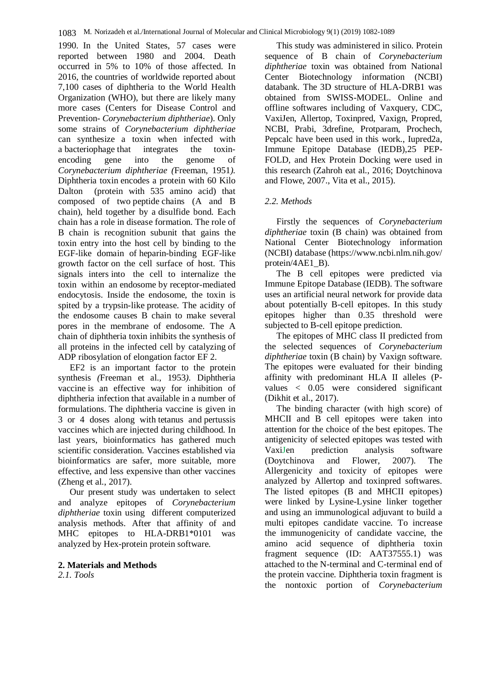1990. In the United States, 57 cases were reported between 1980 and 2004. Death occurred in 5% to 10% of those affected. In 2016, the countries of worldwide reported about 7,100 cases of diphtheria to the World Health Organization (WHO), but there are likely many more cases (Centers for Disease Control and Prevention- *Corynebacterium diphtheriae*). Only some strains of *Corynebacterium diphtheriae*  can synthesize a toxin when infected with a bacteriophage that integrates the toxinencoding gene into the genome of *Corynebacterium diphtheriae (*Freeman, 1951*).*  Diphtheria toxin encodes a protein with 60 Kilo Dalton (protein with 535 amino acid) that composed of two peptide chains (A and B chain), held together by a disulfide bond. Each chain has a role in disease formation. The role of B chain is recognition subunit that gains the toxin entry into the host cell by binding to the EGF-like domain of heparin-binding EGF-like growth factor on the cell surface of host. This signals inters into the cell to internalize the toxin within an endosome by receptor-mediated endocytosis. Inside the endosome, the toxin is spited by a trypsin-like protease. The acidity of the endosome causes B chain to make several pores in the membrane of endosome. The A chain of diphtheria toxin inhibits the synthesis of all proteins in the infected cell by catalyzing of ADP ribosylation of elongation factor EF 2.

EF2 is an important factor to the protein synthesis *(*Freeman et al., 1953*).* Diphtheria vaccine is an effective way for inhibition of diphtheria infection that available in a number of formulations. The diphtheria vaccine is given in 3 or 4 doses along with tetanus and pertussis vaccines which are injected during childhood. In last years, bioinformatics has gathered much scientific consideration. Vaccines established via bioinformatics are safer, more suitable, more effective, and less expensive than other vaccines (Zheng et al., 2017).

Our present study was undertaken to select and analyze epitopes of *Corynebacterium diphtheriae* toxin using different computerized analysis methods. After that affinity of and MHC epitopes to HLA-DRB1\*0101 was analyzed by Hex-protein protein software.

### **2. Materials and Methods**  *2.1. Tools*

This study was administered in silico. Protein sequence of B chain of *Corynebacterium diphtheriae* toxin was obtained from National Center Biotechnology information (NCBI) databank. The 3D structure of HLA-DRB1 was obtained from SWISS-MODEL. Online and offline softwares including of Vaxquery, CDC, VaxiJen, Allertop, Toxinpred, Vaxign, Propred, NCBI, Prabi, 3drefine, Protparam, Prochech, Pepcalc have been used in this work., Iupred2a, Immune Epitope Database (IEDB),25 PEP-FOLD, and Hex Protein Docking were used in this research (Zahroh eat al., 2016; Doytchinova and Flowe, 2007., Vita et al., 2015).

## *2.2. Methods*

Firstly the sequences of *Corynebacterium diphtheriae* toxin (B chain) was obtained from National Center Biotechnology information (NCBI) database (https://www.ncbi.nlm.nih.gov/ protein/4AE1\_B).

The B cell epitopes were predicted via Immune Epitope Database (IEDB). The software uses an artificial neural network for provide data about potentially B-cell epitopes. In this study epitopes higher than 0.35 threshold were subjected to B-cell epitope prediction.

The epitopes of MHC class II predicted from the selected sequences of *Corynebacterium diphtheriae* toxin (B chain) by Vaxign software. The epitopes were evaluated for their binding affinity with predominant HLA II alleles (Pvalues < 0.05 were considered significant (Dikhit et al., 2017).

The binding character (with high score) of MHCII and B cell epitopes were taken into attention for the choice of the best epitopes. The antigenicity of selected epitopes was tested with VaxiJen prediction analysis software (Doytchinova and Flower, 2007). The Allergenicity and toxicity of epitopes were analyzed by Allertop and toxinpred softwares. The listed epitopes (B and MHCII epitopes) were linked by Lysine-Lysine linker together and using an immunological adjuvant to build a multi epitopes candidate vaccine. To increase the immunogenicity of candidate vaccine, the amino acid sequence of diphtheria toxin fragment sequence (ID: AAT37555.1) was attached to the N-terminal and C-terminal end of the protein vaccine. Diphtheria toxin fragment is the nontoxic portion of *Corynebacterium*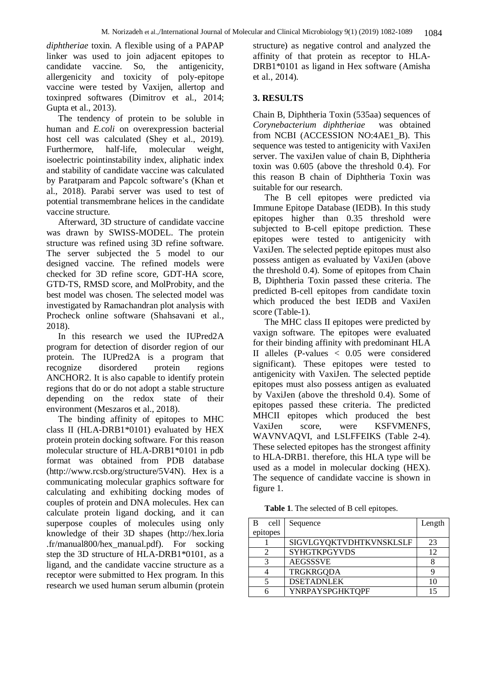*diphtheriae* toxin. A flexible using of a PAPAP linker was used to join adjacent epitopes to candidate vaccine. So, the antigenicity, allergenicity and toxicity of poly-epitope vaccine were tested by Vaxijen, allertop and toxinpred softwares (Dimitrov et al., 2014; Gupta et al., 2013).

The tendency of protein to be soluble in human and *E.coli* on overexpression bacterial host cell was calculated (Shey et al., 2019). Furthermore, half-life, molecular weight, isoelectric pointinstability index, aliphatic index and stability of candidate vaccine was calculated by Paratparam and Papcolc software's (Khan et al., 2018). Parabi server was used to test of potential transmembrane helices in the candidate vaccine structure.

Afterward, 3D structure of candidate vaccine was drawn by SWISS-MODEL. The protein structure was refined using 3D refine software. The server subjected the 5 model to our designed vaccine. The refined models were checked for 3D refine score, GDT-HA score, GTD-TS, RMSD score, and MolProbity, and the best model was chosen. The selected model was investigated by Ramachandran plot analysis with Procheck online software (Shahsavani et al., 2018).

In this research we used the IUPred2A program for detection of disorder region of our protein. The IUPred2A is a program that recognize disordered protein regions ANCHOR2. It is also capable to identify protein regions that do or do not adopt a stable structure depending on the redox state of their environment (Meszaros et al., 2018).

The binding affinity of epitopes to MHC class II (HLA-DRB1\*0101) evaluated by HEX protein protein docking software. For this reason molecular structure of HLA-DRB1\*0101 in pdb format was obtained from PDB database (http://www.rcsb.org/structure/5V4N). Hex is a communicating molecular graphics software for calculating and exhibiting docking modes of couples of protein and DNA molecules. Hex can calculate protein ligand docking, and it can superpose couples of molecules using only knowledge of their 3D shapes (http://hex.loria .fr/manual800/hex\_manual.pdf). For socking step the 3D structure of HLA-DRB1\*0101, as a ligand, and the candidate vaccine structure as a receptor were submitted to Hex program. In this research we used human serum albumin (protein

structure) as negative control and analyzed the affinity of that protein as receptor to HLA-DRB1\*0101 as ligand in Hex software (Amisha et al., 2014).

## **3. RESULTS**

Chain B, Diphtheria Toxin (535aa) sequences of *Corynebacterium diphtheriae* was obtained from NCBI (ACCESSION NO:4AE1\_B). This sequence was tested to antigenicity with VaxiJen server. The vaxiJen value of chain B, Diphtheria toxin was 0.605 (above the threshold 0.4). For this reason B chain of Diphtheria Toxin was suitable for our research.

The B cell epitopes were predicted via Immune Epitope Database (IEDB). In this study epitopes higher than 0.35 threshold were subjected to B-cell epitope prediction. These epitopes were tested to antigenicity with VaxiJen. The selected peptide epitopes must also possess antigen as evaluated by VaxiJen (above the threshold 0.4). Some of epitopes from Chain B, Diphtheria Toxin passed these criteria. The predicted B-cell epitopes from candidate toxin which produced the best IEDB and VaxiJen score (Table-1).

The MHC class II epitopes were predicted by vaxign software. The epitopes were evaluated for their binding affinity with predominant HLA II alleles (P-values < 0.05 were considered significant). These epitopes were tested to antigenicity with VaxiJen. The selected peptide epitopes must also possess antigen as evaluated by VaxiJen (above the threshold 0.4). Some of epitopes passed these criteria. The predicted MHCII epitopes which produced the best VaxiJen score, were KSFVMENFS, WAVNVAQVI, and LSLFFEIKS (Table 2-4). These selected epitopes has the strongest affinity to HLA-DRB1. therefore, this HLA type will be used as a model in molecular docking (HEX). The sequence of candidate vaccine is shown in figure 1.

**Table 1**. The selected of B cell epitopes.

| B<br>cell | Sequence                | Length |
|-----------|-------------------------|--------|
| epitopes  |                         |        |
|           | SIGVLGYQKTVDHTKVNSKLSLF | 23     |
|           | <b>SYHGTKPGYVDS</b>     | 12     |
| 3         | <b>AEGSSSVE</b>         |        |
|           | <b>TRGKRGQDA</b>        |        |
|           | <b>DSETADNLEK</b>       |        |
|           | <b>YNRPAYSPGHKTQPF</b>  |        |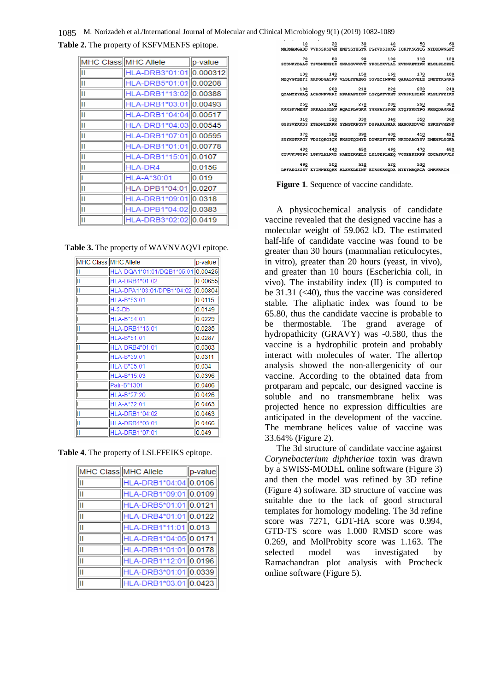1085 M. Norizadeh et al./International Journal of Molecular and Clinical Microbiology 9(1) (2019) 1082-1089

| Table 2. The property of KSFVMENFS epitope. |  |  |  |  |
|---------------------------------------------|--|--|--|--|
|---------------------------------------------|--|--|--|--|

| MHC Class MHC Allele |                         | p-value |
|----------------------|-------------------------|---------|
| Ш                    | HLA-DRB3*01:01 0.000312 |         |
| Ш                    | HLA-DRB5*01:01 0.00208  |         |
| Ш                    | HLA-DRB1*13:02 0.00388  |         |
| lπ                   | HLA-DRB1*03:01 0.00493  |         |
| П                    | HLA-DRB1*04:04 0.00517  |         |
| Iн                   | HLA-DRB1*04:03 0.00545  |         |
| Ш                    | HLA-DRB1*07:01 0.00595  |         |
| Ш                    | HLA-DRB1*01:01 0.00778  |         |
| lπ                   | HLA-DRB1*15:01 0.0107   |         |
| Ш                    | HLA-DR4                 | 0.0156  |
|                      | HLA-A*30:01             | 0.019   |
| Ш                    | HLA-DPB1*04:01 0.0207   |         |
| Ш                    | HLA-DRB1*09:01 0.0318   |         |
| Ш                    | HLA-DPB1*04:02 0.0383   |         |
| Ш                    | HLA-DRB3*02:02 0.0419   |         |

**Table 3.** The property of WAVNVAQVI epitope.

| MHC Class MHC Allele |                                   | p-value |
|----------------------|-----------------------------------|---------|
| Ш                    | HLA-DQA1*01:01/DQB1*05:01 0.00425 |         |
| II                   | HLA-DRB1*01:02                    | 0.00655 |
| Ш                    | HLA-DPA1*03:01/DPB1*04:02         | 0.00804 |
| μ                    | HLA-B*53:01                       | 0.0115  |
| Į                    | $H-2-Db$                          | 0.0149  |
| ι                    | HLA-B*54:01                       | 0.0229  |
| Ш                    | HLA-DRB1*15:01                    | 0.0235  |
| I                    | HLA-B*51:01                       | 0.0287  |
| Ш                    | <b>HLA-DRB4*01:01</b>             | 0.0303  |
| I                    | HLA-B*39:01                       | 0.0311  |
|                      | HLA-B*35:01                       | 0.034   |
| ı                    | HLA-B*15:03                       | 0.0396  |
|                      | Patr-B*1301                       | 0.0406  |
|                      | HLA-B*27:20                       | 0.0426  |
| ı                    | HLA-A*32:01                       | 0.0463  |
| Ш                    | HLA-DRB1*04:02                    | 0.0463  |
| Ш                    | <b>HLA-DRB1*03:01</b>             | 0.0466  |
| Ш                    | HLA-DRB1*07:01                    | 0.049   |

**Table 4**. The property of LSLFFEIKS epitope.

| MHC Class MHC Allele     |                       | $\ $ p-value |
|--------------------------|-----------------------|--------------|
| Ш                        | HLA-DRB1*04:04 0.0106 |              |
| π                        | HLA-DRB1*09:01 0.0109 |              |
| П                        | HLA-DRB5*01:01 0.0121 |              |
| П                        | HLA-DRB4*01:01 0.0122 |              |
| $\overline{\mathsf{II}}$ | HLA-DRB1*11:01 0.013  |              |
| π                        | HLA-DRB1*04:05 0.0171 |              |
| Π                        | HLA-DRB1*01:01 0.0178 |              |
| Ш                        | HLA-DRB1*12:01 0.0196 |              |
| lπ                       | HLA-DRB3*01:01 0.0339 |              |
| Ш                        | HLA-DRB1*03:01 0.0423 |              |

|  | $\begin{array}{cc} 10 & 20 & 30 & 40 & 50 \\ \text{MaxMMSADD WDSSKSPVR} & \text{RIPSSTHGTR FGYUOSTQKG TQKPKSGTQG NYDDWKGFY} \end{array}$                                                                                                                                                                                                                                                                       |  |  |
|--|----------------------------------------------------------------------------------------------------------------------------------------------------------------------------------------------------------------------------------------------------------------------------------------------------------------------------------------------------------------------------------------------------------------|--|--|
|  |                                                                                                                                                                                                                                                                                                                                                                                                                |  |  |
|  |                                                                                                                                                                                                                                                                                                                                                                                                                |  |  |
|  | $7\underbrace{0}_{70}$ $8\underline{0}_{90}$ $9\underline{0}_{100}$ $11\underline{0}_{110}$ $11\underline{0}_{120}$ $12\underline{0}_{120}$                                                                                                                                                                                                                                                                    |  |  |
|  |                                                                                                                                                                                                                                                                                                                                                                                                                |  |  |
|  | $\begin{array}{ccccc} & 130 & 140 & 150 & 160 & 170 & 180 \\ \texttt{MEQVGTEEFI KREGOGASRV VLSLPPRBCS SSVENHNNK QAKALSVELE INFETRGKRG} \end{array}$                                                                                                                                                                                                                                                            |  |  |
|  |                                                                                                                                                                                                                                                                                                                                                                                                                |  |  |
|  |                                                                                                                                                                                                                                                                                                                                                                                                                |  |  |
|  | $\begin{array}{r@{\hspace{1cm}}c@{\hspace{1cm}}c@{\hspace{1cm}}c@{\hspace{1cm}}c@{\hspace{1cm}}c@{\hspace{1cm}}c@{\hspace{1cm}}c@{\hspace{1cm}}c@{\hspace{1cm}}c@{\hspace{1cm}}c@{\hspace{1cm}}c@{\hspace{1cm}}c@{\hspace{1cm}}c@{\hspace{1cm}}c@{\hspace{1cm}}c@{\hspace{1cm}}c@{\hspace{1cm}}c@{\hspace{1cm}}c@{\hspace{1cm}}c@{\hspace{1cm}}c@{\hspace{1cm}}c@{\hspace{1cm}}c@{\hspace{1cm}}c@{\hspace{1cm$ |  |  |
|  |                                                                                                                                                                                                                                                                                                                                                                                                                |  |  |
|  |                                                                                                                                                                                                                                                                                                                                                                                                                |  |  |
|  |                                                                                                                                                                                                                                                                                                                                                                                                                |  |  |
|  | $\begin{array}{cccc} 310 & 320 & 330 & 340 & 350 & 360 \\ {\small GSSSVERKDS ETRONLEKKK SYHGTKPGYV DSPARPRMR WAMGADDVVD SSKSPVMENF} \end{array}$                                                                                                                                                                                                                                                               |  |  |
|  |                                                                                                                                                                                                                                                                                                                                                                                                                |  |  |
|  |                                                                                                                                                                                                                                                                                                                                                                                                                |  |  |
|  | $\begin{array}{cccc} 370 & 380 & 390 & 400 & 410 & 420 \\ 55YHGTKFGY \end{array}$ VERECAL TRESPORTED STRAKED AND ARREST STRAKED AND STRAKED AS                                                                                                                                                                                                                                                                 |  |  |
|  |                                                                                                                                                                                                                                                                                                                                                                                                                |  |  |
|  |                                                                                                                                                                                                                                                                                                                                                                                                                |  |  |
|  |                                                                                                                                                                                                                                                                                                                                                                                                                |  |  |
|  |                                                                                                                                                                                                                                                                                                                                                                                                                |  |  |
|  | $\begin{array}{cc} 490 & 500 & 510 & 520 & 530 \\ \text{LPPAEGSSSV EYINWEGAK ALSVELEINF ETRGKRGQDA MYENMAQACA GNRVRRIM} \end{array}$                                                                                                                                                                                                                                                                           |  |  |
|  |                                                                                                                                                                                                                                                                                                                                                                                                                |  |  |

**Figure 1**. Sequence of vaccine candidate.

A physicochemical analysis of candidate vaccine revealed that the designed vaccine has a molecular weight of 59.062 kD. The estimated half-life of candidate vaccine was found to be greater than 30 hours (mammalian reticulocytes, in vitro), greater than 20 hours (yeast, in vivo), and greater than 10 hours (Escherichia coli, in vivo). The instability index (II) is computed to be  $31.31$  ( $<40$ ), thus the vaccine was considered stable. The aliphatic index was found to be 65.80, thus the candidate vaccine is probable to be thermostable. The grand average of hydropathicity (GRAVY) was -0.580, thus the vaccine is a hydrophilic protein and probably interact with molecules of water. The allertop analysis showed the non-allergenicity of our vaccine. According to the obtained data from protparam and pepcalc, our designed vaccine is soluble and no transmembrane helix was projected hence no expression difficulties are anticipated in the development of the vaccine. The membrane helices value of vaccine was 33.64% (Figure 2).

The 3d structure of candidate vaccine against *Corynebacterium diphtheriae* toxin was drawn by a SWISS-MODEL online software (Figure 3) and then the model was refined by 3D refine (Figure 4) software. 3D structure of vaccine was suitable due to the lack of good structural templates for homology modeling. The 3d refine score was 7271, GDT-HA score was 0.994, GTD-TS score was 1.000 RMSD score was 0.269, and MolProbity score was 1.163. The selected model was investigated by Ramachandran plot analysis with Procheck online software (Figure 5).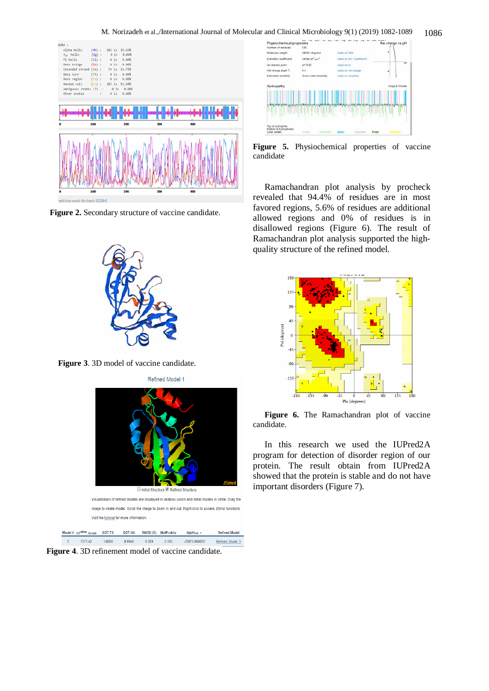M. Norizadeh et al.,/International Journal of Molecular and Clinical Microbiology 9(1) (2019) 1082-1089 1086



Figure 2. Secondary structure of vaccine candidate.



**Figure 3**. 3D model of vaccine candidate.



**Figure 4**. 3D refinement model of vaccine candidate.



Figure 5. Physiochemical properties of vaccine candidate

Ramachandran plot analysis by procheck revealed that 94.4% of residues are in most favored regions, 5.6% of residues are additional allowed regions and 0% of residues is in disallowed regions (Figure 6). The result of Ramachandran plot analysis supported the highquality structure of the refined model.



Figure 6. The Ramachandran plot of vaccine candidate.

In this research we used the IUPred2A program for detection of disorder region of our protein. The result obtain from IUPred2A showed that the protein is stable and do not have important disorders (Figure 7).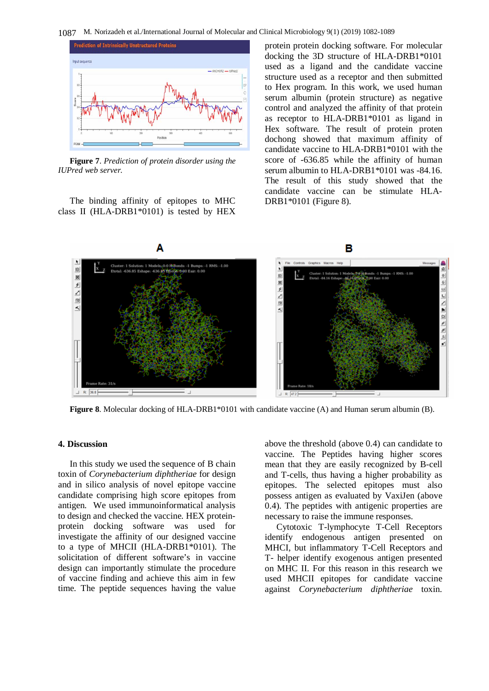1087 M. Norizadeh et al./International Journal of Molecular and Clinical Microbiology 9(1) (2019) 1082-1089



**Figure 7**. *Prediction of protein disorder using the IUPred web server.*

The binding affinity of epitopes to MHC class II (HLA-DRB1\*0101) is tested by HEX protein protein docking software. For molecular docking the 3D structure of HLA-DRB1\*0101 used as a ligand and the candidate vaccine structure used as a receptor and then submitted to Hex program. In this work, we used human serum albumin (protein structure) as negative control and analyzed the affinity of that protein as receptor to HLA-DRB1\*0101 as ligand in Hex software. The result of protein proten dochong showed that maximum affinity of candidate vaccine to HLA-DRB1\*0101 with the score of -636.85 while the affinity of human serum albumin to HLA-DRB1\*0101 was -84.16. The result of this study showed that the candidate vaccine can be stimulate HLA-DRB1\*0101 (Figure 8).



**Figure 8**. Molecular docking of HLA-DRB1\*0101 with candidate vaccine (A) and Human serum albumin (B).

#### **4. Discussion**

In this study we used the sequence of B chain toxin of *Corynebacterium diphtheriae* for design and in silico analysis of novel epitope vaccine candidate comprising high score epitopes from antigen. We used immunoinformatical analysis to design and checked the vaccine. HEX proteinprotein docking software was used for investigate the affinity of our designed vaccine to a type of MHCII (HLA-DRB1\*0101). The solicitation of different software's in vaccine design can importantly stimulate the procedure of vaccine finding and achieve this aim in few time. The peptide sequences having the value above the threshold (above 0.4) can candidate to vaccine. The Peptides having higher scores mean that they are easily recognized by B-cell and T-cells, thus having a higher probability as epitopes. The selected epitopes must also possess antigen as evaluated by VaxiJen (above 0.4). The peptides with antigenic properties are necessary to raise the immune responses.

Cytotoxic T-lymphocyte T-Cell Receptors identify endogenous antigen presented on MHCI, but inflammatory T-Cell Receptors and T- helper identify exogenous antigen presented on MHC II. For this reason in this research we used MHCII epitopes for candidate vaccine against *Corynebacterium diphtheriae* toxin.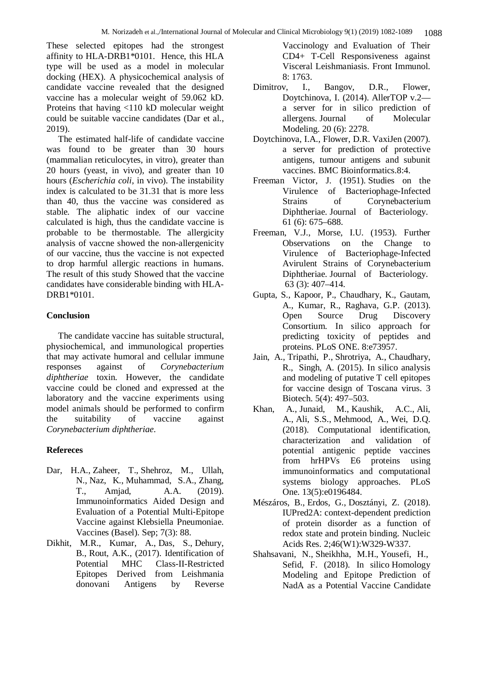These selected epitopes had the strongest affinity to HLA-DRB1\*0101. Hence, this HLA type will be used as a model in molecular docking (HEX). A physicochemical analysis of candidate vaccine revealed that the designed vaccine has a molecular weight of 59.062 kD. Proteins that having <110 kD molecular weight could be suitable vaccine candidates (Dar et al., 2019).

The estimated half-life of candidate vaccine was found to be greater than 30 hours (mammalian reticulocytes, in vitro), greater than 20 hours (yeast, in vivo), and greater than 10 hours (*Escherichia coli*, in vivo). The instability index is calculated to be 31.31 that is more less than 40, thus the vaccine was considered as stable. The aliphatic index of our vaccine calculated is high, thus the candidate vaccine is probable to be thermostable. The allergicity analysis of vaccne showed the non-allergenicity of our vaccine, thus the vaccine is not expected to drop harmful allergic reactions in humans. The result of this study Showed that the vaccine candidates have considerable binding with HLA-DRB1\*0101.

## **Conclusion**

The candidate vaccine has suitable structural, physiochemical, and immunological properties that may activate humoral and cellular immune responses against of *Corynebacterium diphtheriae* toxin. However, the candidate vaccine could be cloned and expressed at the laboratory and the vaccine experiments using model animals should be performed to confirm the suitability of vaccine against *Corynebacterium diphtheriae*.

## **Refereces**

- Dar, H.A., Zaheer, T., Shehroz, M., Ullah, N., Naz, K., Muhammad, S.A., Zhang, T., Amjad, A.A. (2019). Immunoinformatics Aided Design and Evaluation of a Potential Multi-Epitope Vaccine against Klebsiella Pneumoniae. Vaccines (Basel). Sep; 7(3): 88.
- Dikhit, M.R., Kumar, A., Das, S., Dehury, B., Rout, A.K., (2017). Identification of Potential MHC Class-II-Restricted Epitopes Derived from Leishmania donovani Antigens by Reverse

Vaccinology and Evaluation of Their CD4+ T-Cell Responsiveness against Visceral Leishmaniasis. Front Immunol. 8: 1763.

- Dimitrov, I., Bangov, D.R., Flower, Doytchinova, I. (2014). AllerTOP v.2 a server for in silico prediction of allergens. Journal of Molecular Modeling. 20 (6): 2278.
- Doytchinova, I.A., Flower, D.R. VaxiJen (2007). a server for prediction of protective antigens, tumour antigens and subunit vaccines. BMC Bioinformatics.8:4.
- Freeman Victor, J. (1951). Studies on the Virulence of Bacteriophage-Infected Strains of Corynebacterium Diphtheriae. Journal of Bacteriology. 61 (6): 675–688.
- Freeman, V.J., Morse, I.U. (1953). Further Observations on the Change to Virulence of Bacteriophage-Infected Avirulent Strains of Corynebacterium Diphtheriae. Journal of Bacteriology. 63 (3): 407–414.
- Gupta, S., Kapoor, P., Chaudhary, K., Gautam, A., Kumar, R., Raghava, G.P. (2013). Open Source Drug Discovery Consortium. In silico approach for predicting toxicity of peptides and proteins. PLoS ONE. 8:e73957.
- Jain, A., Tripathi, P., Shrotriya, A., Chaudhary, R., Singh, A. (2015). In silico analysis and modeling of putative T cell epitopes for vaccine design of Toscana virus. 3 Biotech. 5(4): 497–503.
- Khan, A., Junaid, M., Kaushik, A.C., Ali, A., Ali, S.S., Mehmood, A., Wei, D.Q. (2018). Computational identification, characterization and validation of potential antigenic peptide vaccines from hrHPVs E6 proteins using immunoinformatics and computational systems biology approaches. PLoS One. 13(5):e0196484.
- Mészáros, B., Erdos, G., Dosztányi, Z. (2018). IUPred2A: context-dependent prediction of protein disorder as a function of redox state and protein binding. Nucleic Acids Res. 2;46(W1):W329-W337.
- Shahsavani, N., Sheikhha, M.H., Yousefi, H., Sefid, F. (2018). In silico Homology Modeling and Epitope Prediction of NadA as a Potential Vaccine Candidate